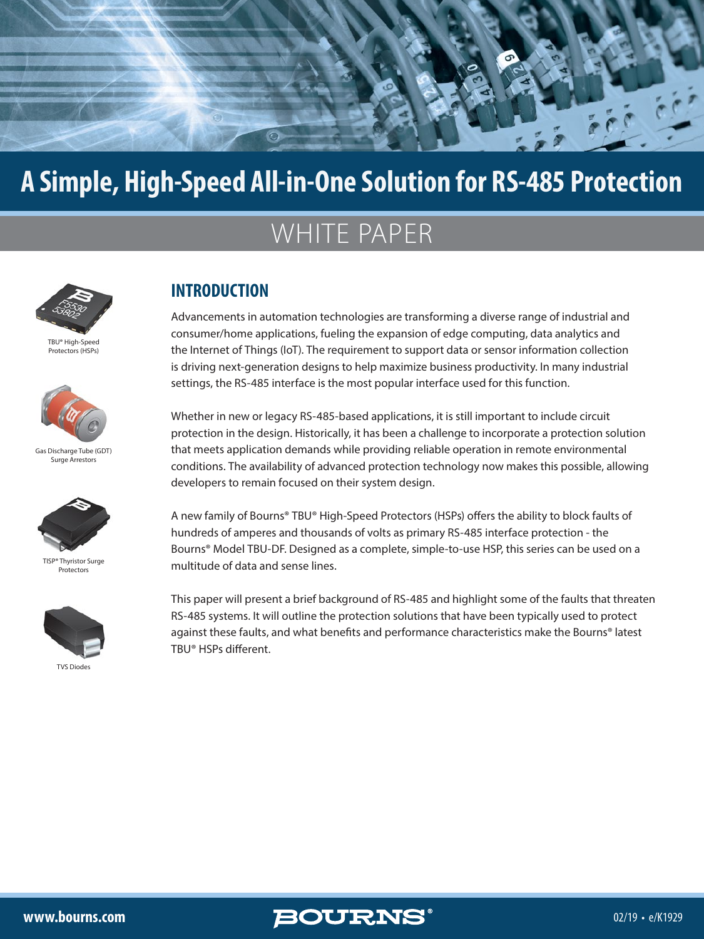

## **A Simple, High-Speed All-in-One Solution for RS-485 Protection**

# WHITE PAPER



[TBU® High-Speed](https://www.bourns.com/products/circuit-protection/tbu-high-speed-protectors-hsps)  Protectors (HSPs)



[Gas Discharge Tube \(GDT\)](https://www.bourns.com/products/circuit-protection/gas-discharge-tube-(gdt)-surge-arrestors)  Surge Arrestors



[TISP® Thyristor Surge](https://www.bourns.com/products/circuit-protection/thyristor-surge-protectors)  Protectors



**TVS Diode** 

### **INTRODUCTION**

Advancements in automation technologies are transforming a diverse range of industrial and consumer/home applications, fueling the expansion of edge computing, data analytics and the Internet of Things (IoT). The requirement to support data or sensor information collection is driving next-generation designs to help maximize business productivity. In many industrial settings, the RS-485 interface is the most popular interface used for this function.

Whether in new or legacy RS-485-based applications, it is still important to include circuit protection in the design. Historically, it has been a challenge to incorporate a protection solution that meets application demands while providing reliable operation in remote environmental conditions. The availability of advanced protection technology now makes this possible, allowing developers to remain focused on their system design.

A new family of Bourns® TBU® High-Speed Protectors (HSPs) offers the ability to block faults of hundreds of amperes and thousands of volts as primary RS-485 interface protection - the Bourns® Model TBU-DF. Designed as a complete, simple-to-use HSP, this series can be used on a multitude of data and sense lines.

This paper will present a brief background of RS-485 and highlight some of the faults that threaten RS-485 systems. It will outline the protection solutions that have been typically used to protect against these faults, and what benefits and performance characteristics make the Bourns® latest TBU® HSPs different.



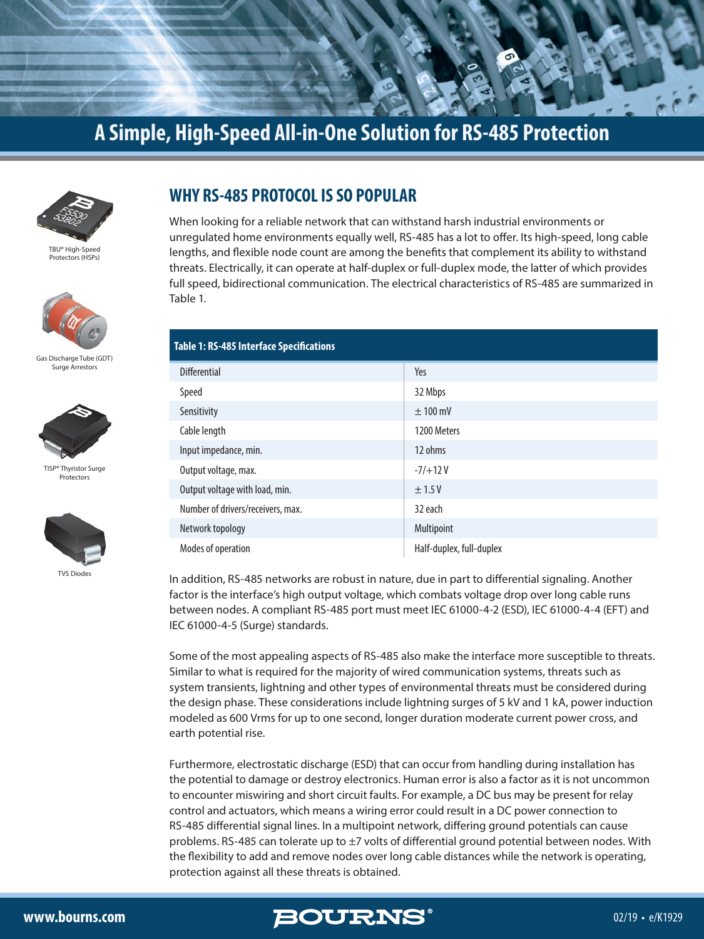



[TBU® High-Speed](https://www.bourns.com/products/circuit-protection/tbu-high-speed-protectors-hsps)  Protectors (HSPs)



[Gas Discharge Tube \(GDT\)](https://www.bourns.com/products/circuit-protection/gas-discharge-tube-(gdt)-surge-arrestors)  Surge Arrestors



[TISP® Thyristor Surge](https://www.bourns.com/products/circuit-protection/thyristor-surge-protectors)  Protectors



[TVS Diodes](https://www.bourns.com/products/diodes/tvs-diodes)

#### **WHY RS-485 PROTOCOL IS SO POPULAR**

When looking for a reliable network that can withstand harsh industrial environments or unregulated home environments equally well, RS-485 has a lot to offer. Its high-speed, long cable lengths, and flexible node count are among the benefits that complement its ability to withstand threats. Electrically, it can operate at half-duplex or full-duplex mode, the latter of which provides full speed, bidirectional communication. The electrical characteristics of RS-485 are summarized in Table 1.

| <b>Table 1: RS-485 Interface Specifications</b> |                          |
|-------------------------------------------------|--------------------------|
| <b>Differential</b>                             | Yes                      |
| Speed                                           | 32 Mbps                  |
| Sensitivity                                     | $± 100$ mV               |
| Cable length                                    | 1200 Meters              |
| Input impedance, min.                           | 12 ohms                  |
| Output voltage, max.                            | $-7/+12V$                |
| Output voltage with load, min.                  | ±1.5V                    |
| Number of drivers/receivers, max.               | 32 each                  |
| Network topology                                | Multipoint               |
| Modes of operation                              | Half-duplex, full-duplex |

In addition, RS-485 networks are robust in nature, due in part to differential signaling. Another factor is the interface's high output voltage, which combats voltage drop over long cable runs between nodes. A compliant RS-485 port must meet IEC 61000-4-2 (ESD), IEC 61000-4-4 (EFT) and IEC 61000-4-5 (Surge) standards.

Some of the most appealing aspects of RS-485 also make the interface more susceptible to threats. Similar to what is required for the majority of wired communication systems, threats such as system transients, lightning and other types of environmental threats must be considered during the design phase. These considerations include lightning surges of 5 kV and 1 kA, power induction modeled as 600 Vrms for up to one second, longer duration moderate current power cross, and earth potential rise.

Furthermore, electrostatic discharge (ESD) that can occur from handling during installation has the potential to damage or destroy electronics. Human error is also a factor as it is not uncommon to encounter miswiring and short circuit faults. For example, a DC bus may be present for relay control and actuators, which means a wiring error could result in a DC power connection to RS-485 differential signal lines. In a multipoint network, differing ground potentials can cause problems. RS-485 can tolerate up to ±7 volts of differential ground potential between nodes. With the flexibility to add and remove nodes over long cable distances while the network is operating, protection against all these threats is obtained.

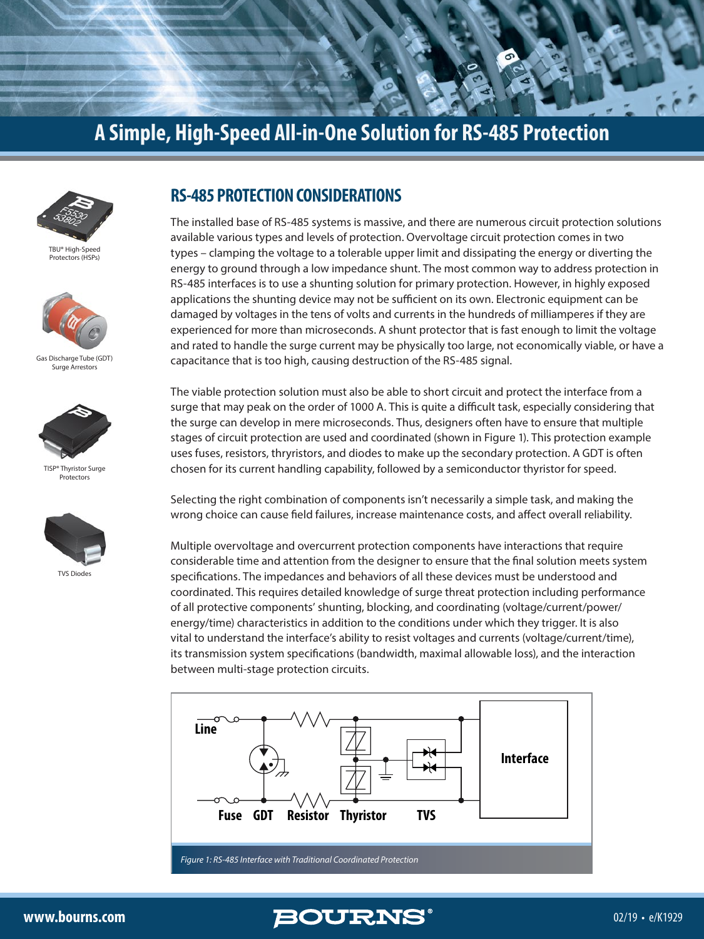



[TBU® High-Speed](https://www.bourns.com/products/circuit-protection/tbu-high-speed-protectors-hsps)  Protectors (HSPs)



[Gas Discharge Tube \(GDT\)](https://www.bourns.com/products/circuit-protection/gas-discharge-tube-(gdt)-surge-arrestors)  Surge Arrestors



[TISP® Thyristor Surge](https://www.bourns.com/products/circuit-protection/thyristor-surge-protectors)  Protectors



[TVS Diodes](https://www.bourns.com/products/diodes/tvs-diodes)

#### **RS-485 PROTECTION CONSIDERATIONS**

The installed base of RS-485 systems is massive, and there are numerous circuit protection solutions available various types and levels of protection. Overvoltage circuit protection comes in two types – clamping the voltage to a tolerable upper limit and dissipating the energy or diverting the energy to ground through a low impedance shunt. The most common way to address protection in RS-485 interfaces is to use a shunting solution for primary protection. However, in highly exposed applications the shunting device may not be sufficient on its own. Electronic equipment can be damaged by voltages in the tens of volts and currents in the hundreds of milliamperes if they are experienced for more than microseconds. A shunt protector that is fast enough to limit the voltage and rated to handle the surge current may be physically too large, not economically viable, or have a capacitance that is too high, causing destruction of the RS-485 signal.

The viable protection solution must also be able to short circuit and protect the interface from a surge that may peak on the order of 1000 A. This is quite a difficult task, especially considering that the surge can develop in mere microseconds. Thus, designers often have to ensure that multiple stages of circuit protection are used and coordinated (shown in Figure 1). This protection example uses fuses, resistors, thryristors, and diodes to make up the secondary protection. A GDT is often chosen for its current handling capability, followed by a semiconductor thyristor for speed.

Selecting the right combination of components isn't necessarily a simple task, and making the wrong choice can cause field failures, increase maintenance costs, and affect overall reliability.

Multiple overvoltage and overcurrent protection components have interactions that require considerable time and attention from the designer to ensure that the final solution meets system specifications. The impedances and behaviors of all these devices must be understood and coordinated. This requires detailed knowledge of surge threat protection including performance of all protective components' shunting, blocking, and coordinating (voltage/current/power/ energy/time) characteristics in addition to the conditions under which they trigger. It is also vital to understand the interface's ability to resist voltages and currents (voltage/current/time), its transmission system specifications (bandwidth, maximal allowable loss), and the interaction between multi-stage protection circuits.



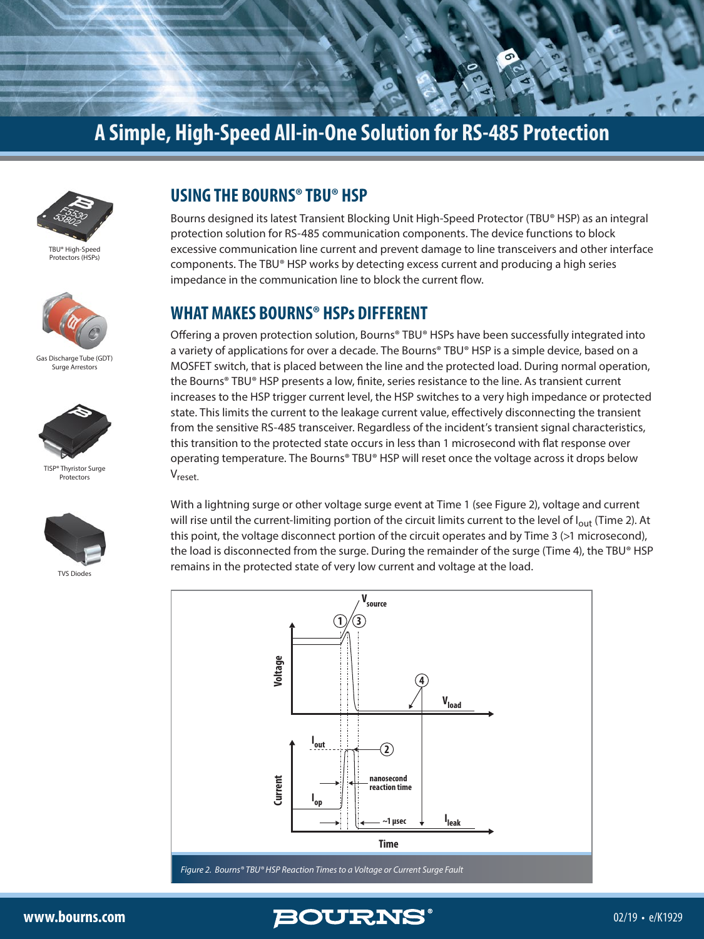



[TBU® High-Speed](https://www.bourns.com/products/circuit-protection/tbu-high-speed-protectors-hsps)  Protectors (HSPs)



[Gas Discharge Tube \(GDT\)](https://www.bourns.com/products/circuit-protection/gas-discharge-tube-(gdt)-surge-arrestors)  Surge Arrestors



[TISP® Thyristor Surge](https://www.bourns.com/products/circuit-protection/thyristor-surge-protectors)  Protectors



[TVS Diodes](https://www.bourns.com/products/diodes/tvs-diodes)

#### **USING THE BOURNS® TBU® HSP**

Bourns designed its latest Transient Blocking Unit High-Speed Protector (TBU® HSP) as an integral protection solution for RS-485 communication components. The device functions to block excessive communication line current and prevent damage to line transceivers and other interface components. The TBU® HSP works by detecting excess current and producing a high series impedance in the communication line to block the current flow.

#### **WHAT MAKES BOURNS® HSPs DIFFERENT**

Offering a proven protection solution, Bourns® TBU® HSPs have been successfully integrated into a variety of applications for over a decade. The Bourns® TBU® HSP is a simple device, based on a MOSFET switch, that is placed between the line and the protected load. During normal operation, the Bourns® TBU® HSP presents a low, finite, series resistance to the line. As transient current increases to the HSP trigger current level, the HSP switches to a very high impedance or protected state. This limits the current to the leakage current value, effectively disconnecting the transient from the sensitive RS-485 transceiver. Regardless of the incident's transient signal characteristics, this transition to the protected state occurs in less than 1 microsecond with flat response over operating temperature. The Bourns® TBU® HSP will reset once the voltage across it drops below Vreset.

With a lightning surge or other voltage surge event at Time 1 (see Figure 2), voltage and current will rise until the current-limiting portion of the circuit limits current to the level of l<sub>out</sub> (Time 2). At this point, the voltage disconnect portion of the circuit operates and by Time 3 (>1 microsecond), the load is disconnected from the surge. During the remainder of the surge (Time 4), the TBU® HSP remains in the protected state of very low current and voltage at the load.



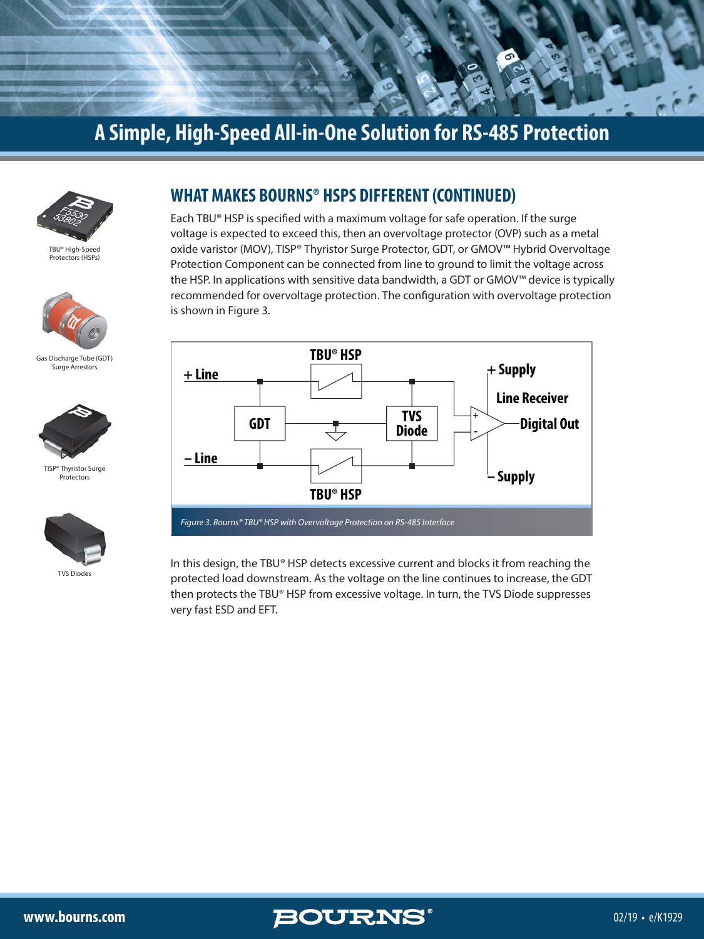



[TBU® High-Speed](https://www.bourns.com/products/circuit-protection/tbu-high-speed-protectors-hsps)  Protectors (HSPs)



[Gas Discharge Tube \(GDT\)](https://www.bourns.com/products/circuit-protection/gas-discharge-tube-(gdt)-surge-arrestors)  Surge Arrestors



[TISP® Thyristor Surge](https://www.bourns.com/products/circuit-protection/thyristor-surge-protectors)  Protectors



[TVS Diodes](https://www.bourns.com/products/diodes/tvs-diodes)

#### **WHAT MAKES BOURNS® HSPS DIFFERENT (CONTINUED)**

Each TBU® HSP is specified with a maximum voltage for safe operation. If the surge voltage is expected to exceed this, then an overvoltage protector (OVP) such as a metal oxide varistor (MOV), TISP® Thyristor Surge Protector, GDT, or GMOV™ Hybrid Overvoltage Protection Component can be connected from line to ground to limit the voltage across the HSP. In applications with sensitive data bandwidth, a GDT or GMOV™ device is typically recommended for overvoltage protection. The configuration with overvoltage protection is shown in Figure 3.



In this design, the TBU® HSP detects excessive current and blocks it from reaching the protected load downstream. As the voltage on the line continues to increase, the GDT then protects the TBU® HSP from excessive voltage. In turn, the TVS Diode suppresses very fast ESD and EFT.

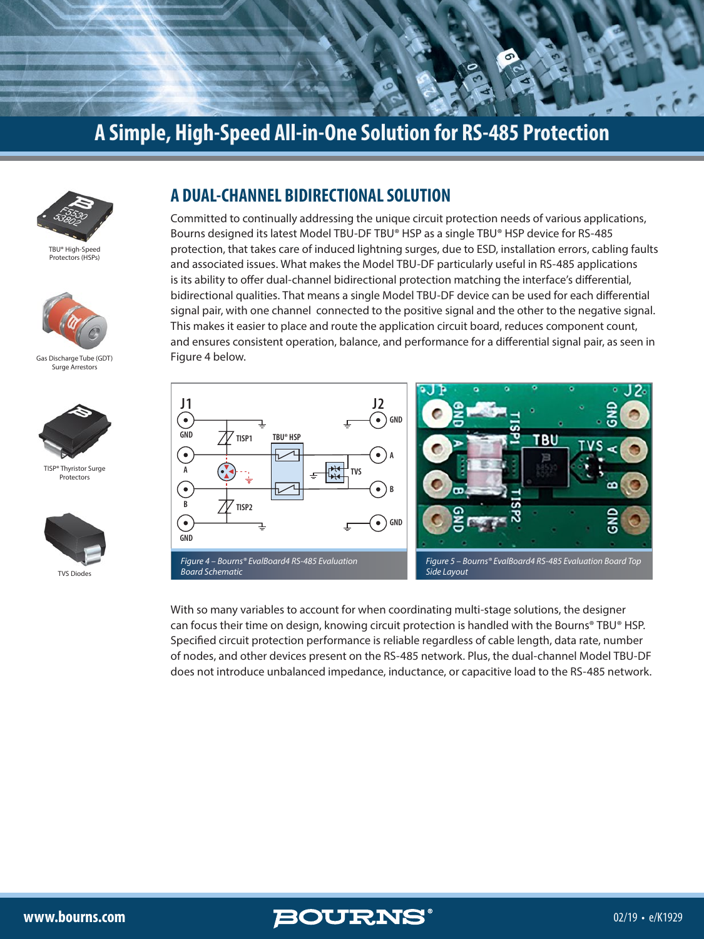



[TBU® High-Speed](https://www.bourns.com/products/circuit-protection/tbu-high-speed-protectors-hsps)  Protectors (HSPs)



[Gas Discharge Tube \(GDT\)](https://www.bourns.com/products/circuit-protection/gas-discharge-tube-(gdt)-surge-arrestors)  Surge Arrestors



[TISP® Thyristor Surge](https://www.bourns.com/products/circuit-protection/thyristor-surge-protectors)  Protectors



#### **A DUAL-CHANNEL BIDIRECTIONAL SOLUTION**

Committed to continually addressing the unique circuit protection needs of various applications, Bourns designed its latest Model TBU-DF TBU® HSP as a single TBU® HSP device for RS-485 protection, that takes care of induced lightning surges, due to ESD, installation errors, cabling faults and associated issues. What makes the Model TBU-DF particularly useful in RS-485 applications is its ability to offer dual-channel bidirectional protection matching the interface's differential, bidirectional qualities. That means a single Model TBU-DF device can be used for each differential signal pair, with one channel connected to the positive signal and the other to the negative signal. This makes it easier to place and route the application circuit board, reduces component count, and ensures consistent operation, balance, and performance for a differential signal pair, as seen in Figure 4 below.



With so many variables to account for when coordinating multi-stage solutions, the designer can focus their time on design, knowing circuit protection is handled with the Bourns® TBU® HSP. Specified circuit protection performance is reliable regardless of cable length, data rate, number of nodes, and other devices present on the RS-485 network. Plus, the dual-channel Model TBU-DF does not introduce unbalanced impedance, inductance, or capacitive load to the RS-485 network.